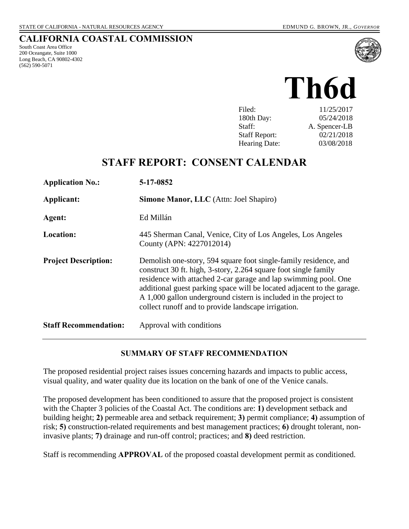## **CALIFORNIA COASTAL COMMISSION**

South Coast Area Office 200 Oceangate, Suite 1000 Long Beach, CA 90802-4302 (562) 590-5071



| Filed:               | 11/25/2017    |
|----------------------|---------------|
| 180th Day:           | 05/24/2018    |
| Staff:               | A. Spencer-LB |
| <b>Staff Report:</b> | 02/21/2018    |
| <b>Hearing Date:</b> | 03/08/2018    |

## **STAFF REPORT: CONSENT CALENDAR**

| <b>Application No.:</b>      | 5-17-0852                                                                                                                                                                                                                                                                                                                                                                                                   |
|------------------------------|-------------------------------------------------------------------------------------------------------------------------------------------------------------------------------------------------------------------------------------------------------------------------------------------------------------------------------------------------------------------------------------------------------------|
| Applicant:                   | <b>Simone Manor, LLC</b> (Attn: Joel Shapiro)                                                                                                                                                                                                                                                                                                                                                               |
| Agent:                       | Ed Millán                                                                                                                                                                                                                                                                                                                                                                                                   |
| <b>Location:</b>             | 445 Sherman Canal, Venice, City of Los Angeles, Los Angeles<br>County (APN: 4227012014)                                                                                                                                                                                                                                                                                                                     |
| <b>Project Description:</b>  | Demolish one-story, 594 square foot single-family residence, and<br>construct 30 ft. high, 3-story, 2.264 square foot single family<br>residence with attached 2-car garage and lap swimming pool. One<br>additional guest parking space will be located adjacent to the garage.<br>A 1,000 gallon underground cistern is included in the project to<br>collect runoff and to provide landscape irrigation. |
| <b>Staff Recommendation:</b> | Approval with conditions                                                                                                                                                                                                                                                                                                                                                                                    |

#### **SUMMARY OF STAFF RECOMMENDATION**

The proposed residential project raises issues concerning hazards and impacts to public access, visual quality, and water quality due its location on the bank of one of the Venice canals.

The proposed development has been conditioned to assure that the proposed project is consistent with the Chapter 3 policies of the Coastal Act. The conditions are: **1)** development setback and building height; **2)** permeable area and setback requirement; **3)** permit compliance; **4)** assumption of risk; **5)** construction-related requirements and best management practices; **6)** drought tolerant, noninvasive plants; **7)** drainage and run-off control; practices; and **8)** deed restriction.

Staff is recommending **APPROVAL** of the proposed coastal development permit as conditioned.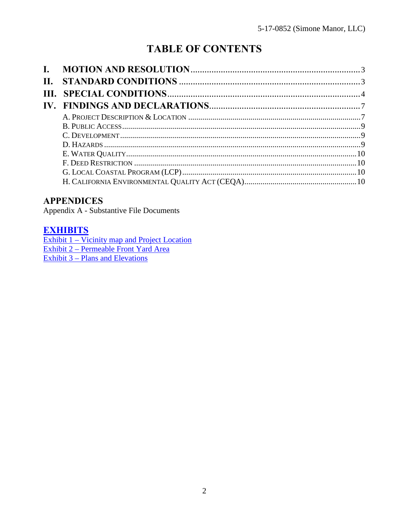# **TABLE OF CONTENTS**

| $\Pi$ . |  |
|---------|--|
|         |  |
|         |  |
|         |  |
|         |  |
|         |  |
|         |  |
|         |  |
|         |  |
|         |  |
|         |  |

## **APPENDICES**

Appendix A - Substantive File Documents

## **EXHIBITS**

**Exhibit 1 – Vicinity map and Project Location** Exhibit 2 – Permeable Front Yard Area Exhibit 3 – Plans and Elevations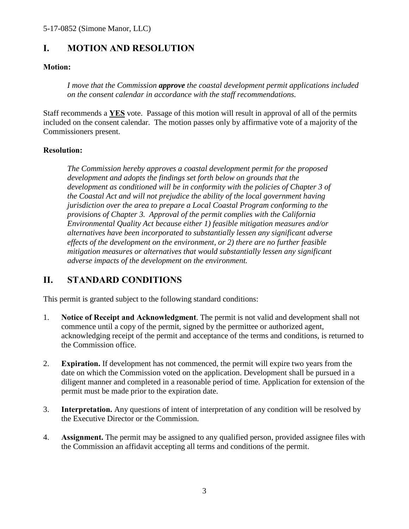## <span id="page-2-0"></span>**I. MOTION AND RESOLUTION**

#### **Motion:**

*I move that the Commission approve the coastal development permit applications included on the consent calendar in accordance with the staff recommendations.*

Staff recommends a **YES** vote. Passage of this motion will result in approval of all of the permits included on the consent calendar. The motion passes only by affirmative vote of a majority of the Commissioners present.

#### **Resolution:**

*The Commission hereby approves a coastal development permit for the proposed development and adopts the findings set forth below on grounds that the development as conditioned will be in conformity with the policies of Chapter 3 of the Coastal Act and will not prejudice the ability of the local government having jurisdiction over the area to prepare a Local Coastal Program conforming to the provisions of Chapter 3. Approval of the permit complies with the California Environmental Quality Act because either 1) feasible mitigation measures and/or alternatives have been incorporated to substantially lessen any significant adverse effects of the development on the environment, or 2) there are no further feasible mitigation measures or alternatives that would substantially lessen any significant adverse impacts of the development on the environment.* 

## <span id="page-2-1"></span>**II. STANDARD CONDITIONS**

This permit is granted subject to the following standard conditions:

- 1. **Notice of Receipt and Acknowledgment**. The permit is not valid and development shall not commence until a copy of the permit, signed by the permittee or authorized agent, acknowledging receipt of the permit and acceptance of the terms and conditions, is returned to the Commission office.
- 2. **Expiration.** If development has not commenced, the permit will expire two years from the date on which the Commission voted on the application. Development shall be pursued in a diligent manner and completed in a reasonable period of time. Application for extension of the permit must be made prior to the expiration date.
- 3. **Interpretation.** Any questions of intent of interpretation of any condition will be resolved by the Executive Director or the Commission.
- 4. **Assignment.** The permit may be assigned to any qualified person, provided assignee files with the Commission an affidavit accepting all terms and conditions of the permit.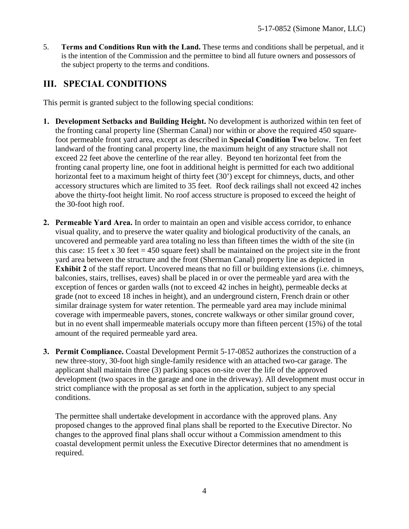5. **Terms and Conditions Run with the Land.** These terms and conditions shall be perpetual, and it is the intention of the Commission and the permittee to bind all future owners and possessors of the subject property to the terms and conditions.

## <span id="page-3-0"></span>**III. SPECIAL CONDITIONS**

This permit is granted subject to the following special conditions:

- **1. Development Setbacks and Building Height.** No development is authorized within ten feet of the fronting canal property line (Sherman Canal) nor within or above the required 450 squarefoot permeable front yard area, except as described in **Special Condition Two** below. Ten feet landward of the fronting canal property line, the maximum height of any structure shall not exceed 22 feet above the centerline of the rear alley. Beyond ten horizontal feet from the fronting canal property line, one foot in additional height is permitted for each two additional horizontal feet to a maximum height of thirty feet (30') except for chimneys, ducts, and other accessory structures which are limited to 35 feet. Roof deck railings shall not exceed 42 inches above the thirty-foot height limit. No roof access structure is proposed to exceed the height of the 30-foot high roof.
- **2. Permeable Yard Area.** In order to maintain an open and visible access corridor, to enhance visual quality, and to preserve the water quality and biological productivity of the canals, an uncovered and permeable yard area totaling no less than fifteen times the width of the site (in this case: 15 feet x 30 feet = 450 square feet) shall be maintained on the project site in the front yard area between the structure and the front (Sherman Canal) property line as depicted in **Exhibit 2** of the staff report. Uncovered means that no fill or building extensions (i.e. chimneys, balconies, stairs, trellises, eaves) shall be placed in or over the permeable yard area with the exception of fences or garden walls (not to exceed 42 inches in height), permeable decks at grade (not to exceed 18 inches in height), and an underground cistern, French drain or other similar drainage system for water retention. The permeable yard area may include minimal coverage with impermeable pavers, stones, concrete walkways or other similar ground cover, but in no event shall impermeable materials occupy more than fifteen percent (15%) of the total amount of the required permeable yard area.
- **3. Permit Compliance.** Coastal Development Permit 5-17-0852 authorizes the construction of a new three-story, 30-foot high single-family residence with an attached two-car garage. The applicant shall maintain three (3) parking spaces on-site over the life of the approved development (two spaces in the garage and one in the driveway). All development must occur in strict compliance with the proposal as set forth in the application, subject to any special conditions.

The permittee shall undertake development in accordance with the approved plans. Any proposed changes to the approved final plans shall be reported to the Executive Director. No changes to the approved final plans shall occur without a Commission amendment to this coastal development permit unless the Executive Director determines that no amendment is required.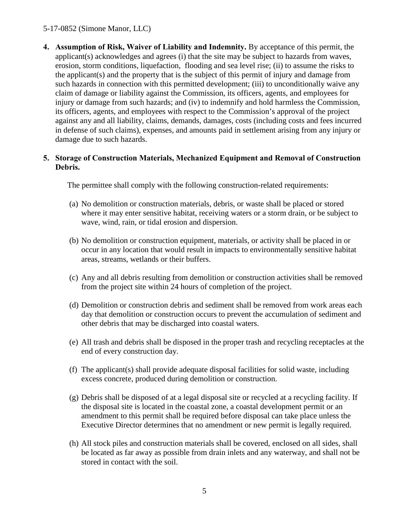#### 5-17-0852 (Simone Manor, LLC)

**4. Assumption of Risk, Waiver of Liability and Indemnity.** By acceptance of this permit, the applicant(s) acknowledges and agrees (i) that the site may be subject to hazards from waves, erosion, storm conditions, liquefaction, flooding and sea level rise; (ii) to assume the risks to the applicant(s) and the property that is the subject of this permit of injury and damage from such hazards in connection with this permitted development; (iii) to unconditionally waive any claim of damage or liability against the Commission, its officers, agents, and employees for injury or damage from such hazards; and (iv) to indemnify and hold harmless the Commission, its officers, agents, and employees with respect to the Commission's approval of the project against any and all liability, claims, demands, damages, costs (including costs and fees incurred in defense of such claims), expenses, and amounts paid in settlement arising from any injury or damage due to such hazards.

#### **5. Storage of Construction Materials, Mechanized Equipment and Removal of Construction Debris.**

The permittee shall comply with the following construction-related requirements:

- (a) No demolition or construction materials, debris, or waste shall be placed or stored where it may enter sensitive habitat, receiving waters or a storm drain, or be subject to wave, wind, rain, or tidal erosion and dispersion.
- (b) No demolition or construction equipment, materials, or activity shall be placed in or occur in any location that would result in impacts to environmentally sensitive habitat areas, streams, wetlands or their buffers.
- (c) Any and all debris resulting from demolition or construction activities shall be removed from the project site within 24 hours of completion of the project.
- (d) Demolition or construction debris and sediment shall be removed from work areas each day that demolition or construction occurs to prevent the accumulation of sediment and other debris that may be discharged into coastal waters.
- (e) All trash and debris shall be disposed in the proper trash and recycling receptacles at the end of every construction day.
- (f) The applicant(s) shall provide adequate disposal facilities for solid waste, including excess concrete, produced during demolition or construction.
- (g) Debris shall be disposed of at a legal disposal site or recycled at a recycling facility. If the disposal site is located in the coastal zone, a coastal development permit or an amendment to this permit shall be required before disposal can take place unless the Executive Director determines that no amendment or new permit is legally required.
- (h) All stock piles and construction materials shall be covered, enclosed on all sides, shall be located as far away as possible from drain inlets and any waterway, and shall not be stored in contact with the soil.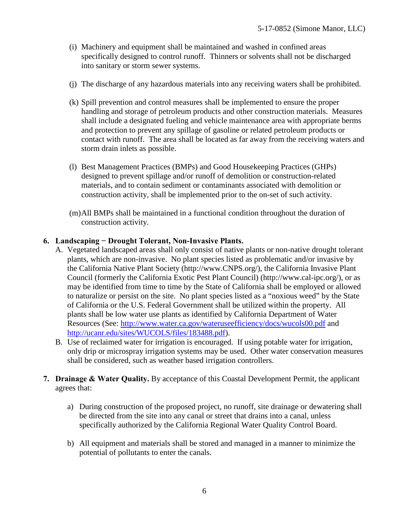- (i) Machinery and equipment shall be maintained and washed in confined areas specifically designed to control runoff. Thinners or solvents shall not be discharged into sanitary or storm sewer systems.
- (j) The discharge of any hazardous materials into any receiving waters shall be prohibited.
- (k) Spill prevention and control measures shall be implemented to ensure the proper handling and storage of petroleum products and other construction materials. Measures shall include a designated fueling and vehicle maintenance area with appropriate berms and protection to prevent any spillage of gasoline or related petroleum products or contact with runoff. The area shall be located as far away from the receiving waters and storm drain inlets as possible.
- (l) Best Management Practices (BMPs) and Good Housekeeping Practices (GHPs) designed to prevent spillage and/or runoff of demolition or construction-related materials, and to contain sediment or contaminants associated with demolition or construction activity, shall be implemented prior to the on-set of such activity.
- (m)All BMPs shall be maintained in a functional condition throughout the duration of construction activity.

#### **6. Landscaping − Drought Tolerant, Non-Invasive Plants.**

- A. Vegetated landscaped areas shall only consist of native plants or non-native drought tolerant plants, which are non-invasive. No plant species listed as problematic and/or invasive by the California Native Plant Society (http://www.CNPS.org/), the California Invasive Plant Council (formerly the California Exotic Pest Plant Council) (http://www.cal-ipc.org/), or as may be identified from time to time by the State of California shall be employed or allowed to naturalize or persist on the site. No plant species listed as a "noxious weed" by the State of California or the U.S. Federal Government shall be utilized within the property. All plants shall be low water use plants as identified by California Department of Water Resources (See:<http://www.water.ca.gov/wateruseefficiency/docs/wucols00.pdf>and [http://ucanr.edu/sites/WUCOLS/files/183488.pdf\)](http://ucanr.edu/sites/WUCOLS/files/183488.pdf).
- B. Use of reclaimed water for irrigation is encouraged. If using potable water for irrigation, only drip or microspray irrigation systems may be used. Other water conservation measures shall be considered, such as weather based irrigation controllers.
- **7. Drainage & Water Quality.** By acceptance of this Coastal Development Permit, the applicant agrees that:
	- a) During construction of the proposed project, no runoff, site drainage or dewatering shall be directed from the site into any canal or street that drains into a canal, unless specifically authorized by the California Regional Water Quality Control Board.
	- b) All equipment and materials shall be stored and managed in a manner to minimize the potential of pollutants to enter the canals.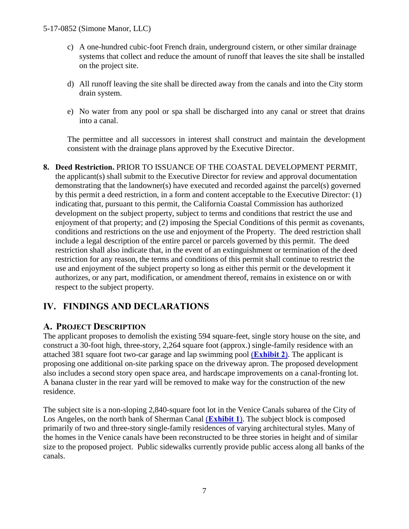- c) A one-hundred cubic-foot French drain, underground cistern, or other similar drainage systems that collect and reduce the amount of runoff that leaves the site shall be installed on the project site.
- d) All runoff leaving the site shall be directed away from the canals and into the City storm drain system.
- e) No water from any pool or spa shall be discharged into any canal or street that drains into a canal.

The permittee and all successors in interest shall construct and maintain the development consistent with the drainage plans approved by the Executive Director.

**8. Deed Restriction.** PRIOR TO ISSUANCE OF THE COASTAL DEVELOPMENT PERMIT, the applicant(s) shall submit to the Executive Director for review and approval documentation demonstrating that the landowner(s) have executed and recorded against the parcel(s) governed by this permit a deed restriction, in a form and content acceptable to the Executive Director: (1) indicating that, pursuant to this permit, the California Coastal Commission has authorized development on the subject property, subject to terms and conditions that restrict the use and enjoyment of that property; and (2) imposing the Special Conditions of this permit as covenants, conditions and restrictions on the use and enjoyment of the Property. The deed restriction shall include a legal description of the entire parcel or parcels governed by this permit. The deed restriction shall also indicate that, in the event of an extinguishment or termination of the deed restriction for any reason, the terms and conditions of this permit shall continue to restrict the use and enjoyment of the subject property so long as either this permit or the development it authorizes, or any part, modification, or amendment thereof, remains in existence on or with respect to the subject property.

## <span id="page-6-0"></span>**IV. FINDINGS AND DECLARATIONS**

## <span id="page-6-1"></span>**A. PROJECT DESCRIPTION**

The applicant proposes to demolish the existing 594 square-feet, single story house on the site, and construct a 30-foot high, three-story, 2,264 square foot (approx.) single-family residence with an attached 381 square foot two-car garage and lap swimming pool (**[Exhibit 2](https://documents.coastal.ca.gov/reports/2018/3/th6d/th6d-3-2018-exhibits.pdf)**). The applicant is proposing one additional on-site parking space on the driveway apron. The proposed development also includes a second story open space area, and hardscape improvements on a canal-fronting lot. A banana cluster in the rear yard will be removed to make way for the construction of the new residence.

The subject site is a non-sloping 2,840-square foot lot in the Venice Canals subarea of the City of Los Angeles, on the north bank of Sherman Canal (**[Exhibit 1](https://documents.coastal.ca.gov/reports/2018/3/th6d/th6d-3-2018-exhibits.pdf)**). The subject block is composed primarily of two and three-story single-family residences of varying architectural styles. Many of the homes in the Venice canals have been reconstructed to be three stories in height and of similar size to the proposed project. Public sidewalks currently provide public access along all banks of the canals.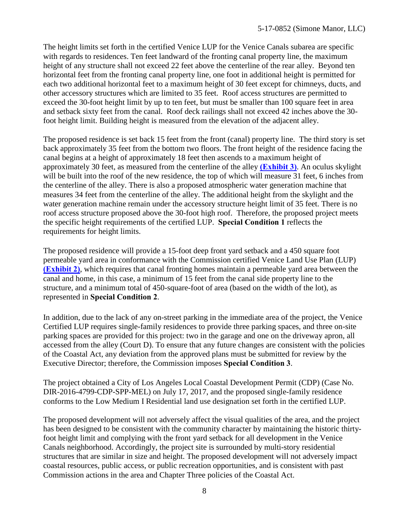The height limits set forth in the certified Venice LUP for the Venice Canals subarea are specific with regards to residences. Ten feet landward of the fronting canal property line, the maximum height of any structure shall not exceed 22 feet above the centerline of the rear alley. Beyond ten horizontal feet from the fronting canal property line, one foot in additional height is permitted for each two additional horizontal feet to a maximum height of 30 feet except for chimneys, ducts, and other accessory structures which are limited to 35 feet. Roof access structures are permitted to exceed the 30-foot height limit by up to ten feet, but must be smaller than 100 square feet in area and setback sixty feet from the canal. Roof deck railings shall not exceed 42 inches above the 30 foot height limit. Building height is measured from the elevation of the adjacent alley.

The proposed residence is set back 15 feet from the front (canal) property line. The third story is set back approximately 35 feet from the bottom two floors. The front height of the residence facing the canal begins at a height of approximately 18 feet then ascends to a maximum height of approximately 30 feet, as measured from the centerline of the alley **[\(Exhibit 3\)](https://documents.coastal.ca.gov/reports/2018/3/th6d/th6d-3-2018-exhibits.pdf)**. An oculus skylight will be built into the roof of the new residence, the top of which will measure 31 feet, 6 inches from the centerline of the alley. There is also a proposed atmospheric water generation machine that measures 34 feet from the centerline of the alley. The additional height from the skylight and the water generation machine remain under the accessory structure height limit of 35 feet. There is no roof access structure proposed above the 30-foot high roof. Therefore, the proposed project meets the specific height requirements of the certified LUP. **Special Condition 1** reflects the requirements for height limits.

The proposed residence will provide a 15-foot deep front yard setback and a 450 square foot permeable yard area in conformance with the Commission certified Venice Land Use Plan (LUP) **[\(Exhibit 2\)](https://documents.coastal.ca.gov/reports/2018/3/th6d/th6d-3-2018-exhibits.pdf)**, which requires that canal fronting homes maintain a permeable yard area between the canal and home, in this case, a minimum of 15 feet from the canal side property line to the structure, and a minimum total of 450-square-foot of area (based on the width of the lot), as represented in **Special Condition 2**.

In addition, due to the lack of any on-street parking in the immediate area of the project, the Venice Certified LUP requires single-family residences to provide three parking spaces, and three on-site parking spaces are provided for this project: two in the garage and one on the driveway apron, all accessed from the alley (Court D). To ensure that any future changes are consistent with the policies of the Coastal Act, any deviation from the approved plans must be submitted for review by the Executive Director; therefore, the Commission imposes **Special Condition 3**.

The project obtained a City of Los Angeles Local Coastal Development Permit (CDP) (Case No. DIR-2016-4799-CDP-SPP-MEL) on July 17, 2017, and the proposed single-family residence conforms to the Low Medium I Residential land use designation set forth in the certified LUP.

The proposed development will not adversely affect the visual qualities of the area, and the project has been designed to be consistent with the community character by maintaining the historic thirtyfoot height limit and complying with the front yard setback for all development in the Venice Canals neighborhood. Accordingly, the project site is surrounded by multi-story residential structures that are similar in size and height. The proposed development will not adversely impact coastal resources, public access, or public recreation opportunities, and is consistent with past Commission actions in the area and Chapter Three policies of the Coastal Act.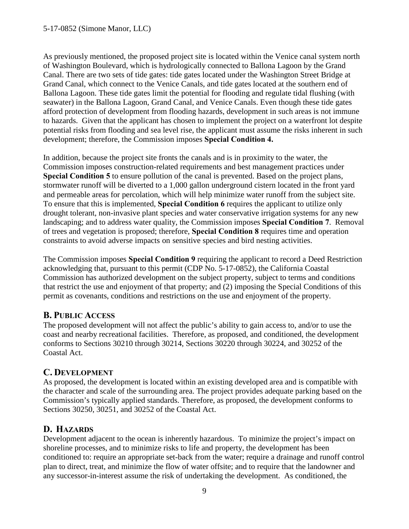As previously mentioned, the proposed project site is located within the Venice canal system north of Washington Boulevard, which is hydrologically connected to Ballona Lagoon by the Grand Canal. There are two sets of tide gates: tide gates located under the Washington Street Bridge at Grand Canal, which connect to the Venice Canals, and tide gates located at the southern end of Ballona Lagoon. These tide gates limit the potential for flooding and regulate tidal flushing (with seawater) in the Ballona Lagoon, Grand Canal, and Venice Canals. Even though these tide gates afford protection of development from flooding hazards, development in such areas is not immune to hazards. Given that the applicant has chosen to implement the project on a waterfront lot despite potential risks from flooding and sea level rise, the applicant must assume the risks inherent in such development; therefore, the Commission imposes **Special Condition 4.**

In addition, because the project site fronts the canals and is in proximity to the water, the Commission imposes construction-related requirements and best management practices under **Special Condition 5** to ensure pollution of the canal is prevented. Based on the project plans, stormwater runoff will be diverted to a 1,000 gallon underground cistern located in the front yard and permeable areas for percolation, which will help minimize water runoff from the subject site. To ensure that this is implemented, **Special Condition 6** requires the applicant to utilize only drought tolerant, non-invasive plant species and water conservative irrigation systems for any new landscaping; and to address water quality, the Commission imposes **Special Condition 7**. Removal of trees and vegetation is proposed; therefore, **Special Condition 8** requires time and operation constraints to avoid adverse impacts on sensitive species and bird nesting activities.

The Commission imposes **Special Condition 9** requiring the applicant to record a Deed Restriction acknowledging that, pursuant to this permit (CDP No. 5-17-0852), the California Coastal Commission has authorized development on the subject property, subject to terms and conditions that restrict the use and enjoyment of that property; and (2) imposing the Special Conditions of this permit as covenants, conditions and restrictions on the use and enjoyment of the property.

## <span id="page-8-1"></span>**B. PUBLIC ACCESS**

The proposed development will not affect the public's ability to gain access to, and/or to use the coast and nearby recreational facilities. Therefore, as proposed, and conditioned, the development conforms to Sections 30210 through 30214, Sections 30220 through 30224, and 30252 of the Coastal Act.

## <span id="page-8-0"></span>**C. DEVELOPMENT**

As proposed, the development is located within an existing developed area and is compatible with the character and scale of the surrounding area. The project provides adequate parking based on the Commission's typically applied standards. Therefore, as proposed, the development conforms to Sections 30250, 30251, and 30252 of the Coastal Act.

## **D. HAZARDS**

Development adjacent to the ocean is inherently hazardous. To minimize the project's impact on shoreline processes, and to minimize risks to life and property, the development has been conditioned to: require an appropriate set-back from the water; require a drainage and runoff control plan to direct, treat, and minimize the flow of water offsite; and to require that the landowner and any successor-in-interest assume the risk of undertaking the development. As conditioned, the